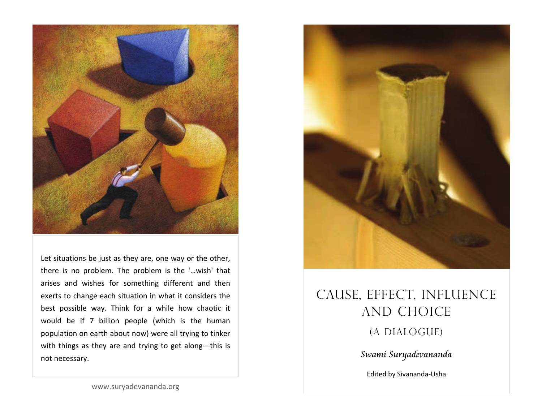

Let situations be just as they are, one way or the other, there is no problem. The problem is the '…wish' that arises and wishes for something different and then exerts to change each situation in what it considers the best possible way. Think for <sup>a</sup> while how chaotic it would be if 7 billion people (which is the human population on earth about now) were all trying to tinker with things as they are and trying to get along—this is not necessary.



# CAUSE, EFFECT, INFLUENCE AND CHOICE (A DIALOGUE) Swami Suryadevananda

Edited by Sivananda‐Usha

www.suryadevananda.org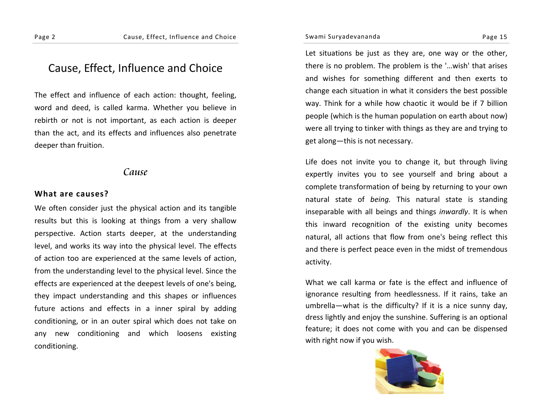# Cause, Effect, Influence and Choice

The effect and influence of each action: thought, feeling, word and deed, is called karma. Whether you believe in rebirth or not is not important, as each action is deeper than the act, and its effects and influences also penetrate deeper than fruition.

# Cause

#### **What are causes?**

We often consider just the physical action and its tangible results but this is looking at things from <sup>a</sup> very shallow perspective. Action starts deeper, at the understanding level, and works its way into the physical level. The effects of action too are experienced at the same levels of action, from the understanding level to the physical level. Since the effects are experienced at the deepest levels of one's being, they impact understanding and this shapes or influences future actions and effects in <sup>a</sup> inner spiral by adding conditioning, or in an outer spiral which does not take on any new conditioning and which loosens existing conditioning.

Let situations be just as they are, one way or the other, there is no problem. The problem is the '…wish' that arises and wishes for something different and then exerts to change each situation in what it considers the best possible way. Think for <sup>a</sup> while how chaotic it would be if 7 billion people (which is the human population on earth about now) were all trying to tinker with things as they are and trying to get along—this is not necessary.

Life does not invite you to change it, but through living expertly invites you to see yourself and bring about <sup>a</sup> complete transformation of being by returning to your own natural state of *being.* This natural state is standing inseparable with all beings and things *inwardly*. It is when this inward recognition of the existing unity becomes natural, all actions that flow from one's being reflect this and there is perfect peace even in the midst of tremendous activity.

What we call karma or fate is the effect and influence of ignorance resulting from heedlessness. If it rains, take an umbrella—what is the difficulty? If it is <sup>a</sup> nice sunny day, dress lightly and enjoy the sunshine. Suffering is an optional feature; it does not come with you and can be dispensed with right now if you wish.

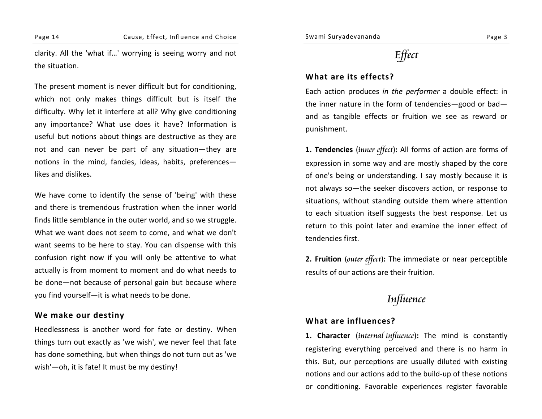clarity. All the 'what if…' worrying is seeing worry and not the situation.

The present moment is never difficult but for conditioning, which not only makes things difficult but is itself the difficulty. Why let it interfere at all? Why give conditioning any importance? What use does it have? Information is useful but notions about things are destructive as they are not and can never be part of any situation—they are notions in the mind, fancies, ideas, habits, preferences likes and dislikes.

We have come to identify the sense of 'being' with these and there is tremendous frustration when the inner world finds little semblance in the outer world, and so we struggle. What we want does not seem to come, and what we don't want seems to be here to stay. You can dispense with this confusion right now if you will only be attentive to what actually is from moment to moment and do what needs to be done—not because of personal gain but because where you find yourself—it is what needs to be done.

### **We make our destiny**

Heedlessness is another word for fate or destiny. When things turn out exactly as 'we wish', we never feel that fate has done something, but when things do not turn out as 'we wish'—oh, it is fate! It must be my destiny!

# **Effect**

### **What are its effects?**

Each action produces *in the performer* <sup>a</sup> double effect: in the inner nature in the form of tendencies—good or bad and as tangible effects or fruition we see as reward or punishment.

**1. Tendencies** (inner effect)**:** All forms of action are forms of expression in some way and are mostly shaped by the core of one's being or understanding. I say mostly because it is not always so—the seeker discovers action, or response to situations, without standing outside them where attention to each situation itself suggests the best response. Let us return to this point later and examine the inner effect of tendencies first.

**2. Fruition** (outer effect)**:** The immediate or near perceptible results of our actions are their fruition.

# Influence

### **What are influences?**

**1. Character** (internal influence)**:** The mind is constantly registering everything perceived and there is no harm in this. But, our perceptions are usually diluted with existing notions and our actions add to the build‐up of these notions or conditioning. Favorable experiences register favorable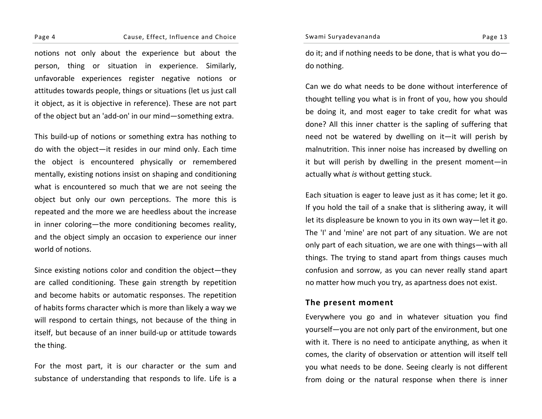Swami Suryadevananda Page 13

#### Page 4 Cause, Effect, Influence and Choice

notions not only about the experience but about the person, thing or situation in experience. Similarly, unfavorable experiences register negative notions or attitudes towards people, things or situations (let us just call it object, as it is objective in reference). These are not part of the object but an 'add‐on' in our mind—something extra.

This build‐up of notions or something extra has nothing to do with the object—it resides in our mind only. Each time the object is encountered physically or remembered mentally, existing notions insist on shaping and conditioning what is encountered so much that we are not seeing the object but only our own perceptions. The more this is repeated and the more we are heedless about the increase in inner coloring—the more conditioning becomes reality, and the object simply an occasion to experience our inner world of notions.

Since existing notions color and condition the object—they are called conditioning. These gain strength by repetition and become habits or automatic responses. The repetition of habits forms character which is more than likely <sup>a</sup> way we will respond to certain things, not because of the thing in itself, but because of an inner build‐up or attitude towards the thing.

For the most part, it is our character or the sum and substance of understanding that responds to life. Life is <sup>a</sup> do it; and if nothing needs to be done, that is what you do do nothing.

Can we do what needs to be done without interference of thought telling you what is in front of you, how you should be doing it, and most eager to take credit for what was done? All this inner chatter is the sapling of suffering that need not be watered by dwelling on it—it will perish by malnutrition. This inner noise has increased by dwelling on it but will perish by dwelling in the present moment—in actually what *is* without getting stuck.

Each situation is eager to leave just as it has come; let it go. If you hold the tail of <sup>a</sup> snake that is slithering away, it will let its displeasure be known to you in its own way—let it go. The 'I' and 'mine' are not part of any situation. We are not only part of each situation, we are one with things—with all things. The trying to stand apart from things causes much confusion and sorrow, as you can never really stand apart no matter how much you try, as apartness does not exist.

### **The present moment**

Everywhere you go and in whatever situation you find yourself—you are not only part of the environment, but one with it. There is no need to anticipate anything, as when it comes, the clarity of observation or attention will itself tell you what needs to be done. Seeing clearly is not different from doing or the natural response when there is inner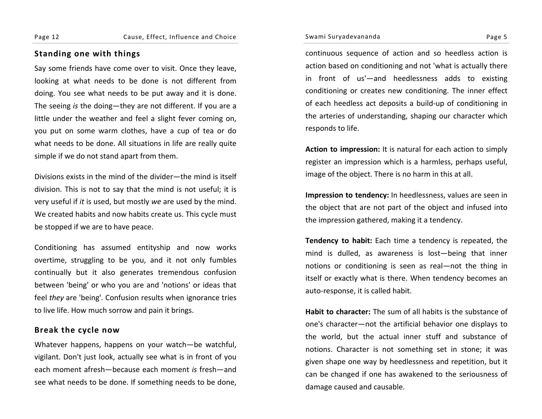# **Standing one with things**

Say some friends have come over to visit. Once they leave, looking at what needs to be done is not different from doing. You see what needs to be put away and it is done. The seeing *is* the doing—they are not different. If you are <sup>a</sup> little under the weather and feel <sup>a</sup> slight fever coming on, you put on some warm clothes, have <sup>a</sup> cup of tea or do what needs to be done. All situations in life are really quite simple if we do not stan d apart from them.

Divisions exists in the mind of the divider—the mind is itself division. This is not to say that the mind is not useful; it is very useful if *it* is used, but mostly *we* are used by the mind. We created habits and now habits create us. This cycle must be stopped if we are to have peace.

Conditioning has assumed entityship and now works overtime, struggling to be you, and it not only fumbles continually but it also generates tremendous confusion between 'being' or who you are and 'notions' or ideas that feel *they* are 'being'. Confusion results when ignorance tries to live life. How much sorrow and pain it brings.

# **Break the cycle now**

Whatever happens, happens on your watch—be watchful, vigilant. Don't just look, actually see what is in front of you each moment afresh—because each moment *is* fresh—and see what needs to be done. If something needs to be done,

continuous sequence of action and so heedless action is action based on conditioning and not 'what is actually there in front of us'—and heedlessness adds to existing conditioning or creates new conditioning. The inner effect of each heedless act deposits <sup>a</sup> build‐up of conditioning in the arteries of understanding, shaping our character which responds to life.

**Action to impression:** It is natural for each action to simply register an impression which is <sup>a</sup> harmless, perhaps useful, image of the object. There is no harm in this at all.

**Impression to tendency:** In heedlessness, values are seen in the object that are not part of the object and infused into the impression gathered, making it <sup>a</sup> tendency.

**Tendency to habit:** Each time <sup>a</sup> tendency is repeated, the mind is dulled, as awareness is lost—being that inner notions or conditioning is seen as real—not the thing in itself or exactly what is there. When tendency becomes an auto‐response, it is called habit.

**Habit to character:** The sum of all habits is the substance of one's character—not the artificial behavior one displays to the world, but the actual inner stuff and substance of notions. Character is not something set in stone; it was given shape one way by heedlessness and repetition, but it can be changed if one has awakened to the seriousness of damage caused and causable.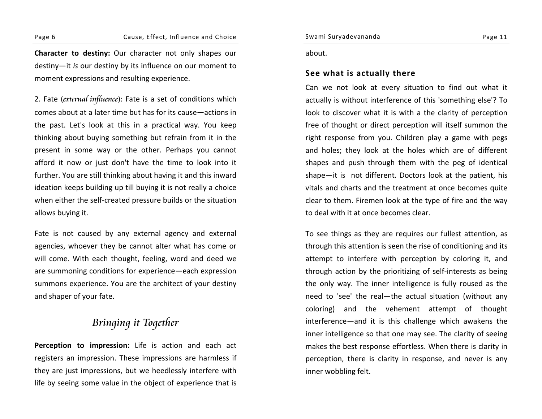Page 6 Cause, Effect, Influence and Choice

**Character to destiny:** Our character not only shapes our destiny—it *is* our destiny by its influence on our moment to moment expressions and resulting experience.

2. Fate (*external influence*): Fate is a set of conditions which comes about at <sup>a</sup> later time but has for its cause—actions inthe past. Let's look at this in <sup>a</sup> practical way. You keep thinking about buying something but refrain from it in the present in some way or the other. Perhaps you cannot afford it now or just don't have the time to look into it further. You are still thinking about having it and this inward ideation keeps building up till buying it is not really <sup>a</sup> choice when either the self‐created pressure builds or the situation allows buying it.

Fate is not caused by any external agency and external agencies, whoever they be cannot alter what has come or will come. With each thought, feeling, word and deed we are summoning conditions for experience—each expression summons experience. You are the architect of your destiny and shaper of your fate.

# Bringing it Together

**Perception to impression:** Life is action and each act registers an impression. These impressions are harmless if they are just impressions, but we heedlessly interfere with life by seeing some value in the object of experience that is

Swami Suryadevananda Page <sup>11</sup>

about.

### **See what is actually there**

Can we not look at every situation to find out what it actually is without interference of this 'something else'? To look to discover what it is with <sup>a</sup> the clarity of perception free of thought or direct perception will itself summon the right response from you. Children play <sup>a</sup> game with pegs and holes; they look at the holes which are of different shapes and push through them with the peg of identical shape—it is not different. Doctors look at the patient, his vitals and charts and the treatment at once becomes quite clear to them. Firemen look at the type of fire and the way to deal with it at once becomes clear.

To see things as they are requires our fullest attention, as through this attention is seen the rise of conditioning and its attempt to interfere with perception by coloring it, and through action by the prioritizing of self‐interests as being the only way. The inner intelligence is fully roused as the need to 'see' the real—the actual situation (without any coloring) and the vehement attempt of thought interference—and it is this challenge which awakens the inner intelligence so that one may see. The clarity of seeing makes the best response effortless. When there is clarity in perception, there is clarity in response, and never is any inner wobbling felt.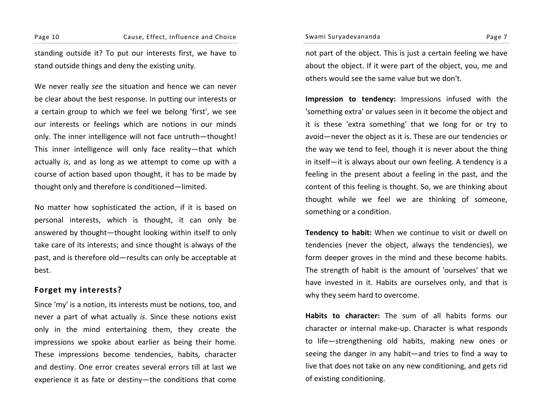standing outside it? To put our interests first, we have to stand outside things and deny the existing unity.

We never really *see* the situation and hence we can never be clear about the best response. In putting our interests or a certain group to which we feel we belong 'first', we see our interests or feelings which are notions in our minds only. The inner intelligence will not face untruth—thought! This inner intelligence will only face reality—that which actually *is*, and as long as we attempt to come up with <sup>a</sup> course of action based upon thought, it has to be made by thought only and therefore is conditioned—limited.

No matter how sophisticated the action, if it is based on personal interests, which is thought, it can only be answered by thought—thought looking within itself to only take care of its interests; and since thought is always of the past, and is therefore old—results can only be acceptable at best.

## **Forget my interests?**

Since 'my' is <sup>a</sup> notion, its interests must be notions, too, and never a part of what actually *is*. Since these notions exist only in the mind entertaining them, they create the impressions we spoke about earlier as being their home. These impressions become tendencies, habits, character and destiny. One error creates several errors till at last we experience it as fate or destiny—the conditions that come

not part of the object. This is just <sup>a</sup> certain feeling we have about the object. If it were part of the object, you, me and others would see the same value but we don't.

**Impression to tendency:** Impressions infused with the 'something extra' or values seen in it become the object and it is these 'extra something' that we long for or try to avoid—never the object as it is. These are our tendencies or the way we tend to feel, though it is never about the thing in itself—it is always about our own feeling. A tendency is <sup>a</sup> feeling in the present about <sup>a</sup> feeling in the past, and the content of this feeling is thought. So, we are thinking about thought while we feel we are thinking of someone, something or <sup>a</sup> condition.

**Tendency to habit:** When we continue to visit or dwell on tendencies (never the object, always the tendencies), we form deeper groves in the mind and these become habits. The strength of habit is the amount of 'ourselves' that we have invested in it. Habits are ourselves only, and that is why they seem hard to overcome.

**Habits to character:** The sum of all habits forms our character or internal make‐up. Character is what responds to life—strengthening old habits, making new ones or seeing the danger in any habit—and tries to find <sup>a</sup> way to live that does not take on any new conditioning, and gets rid of existing conditioning.